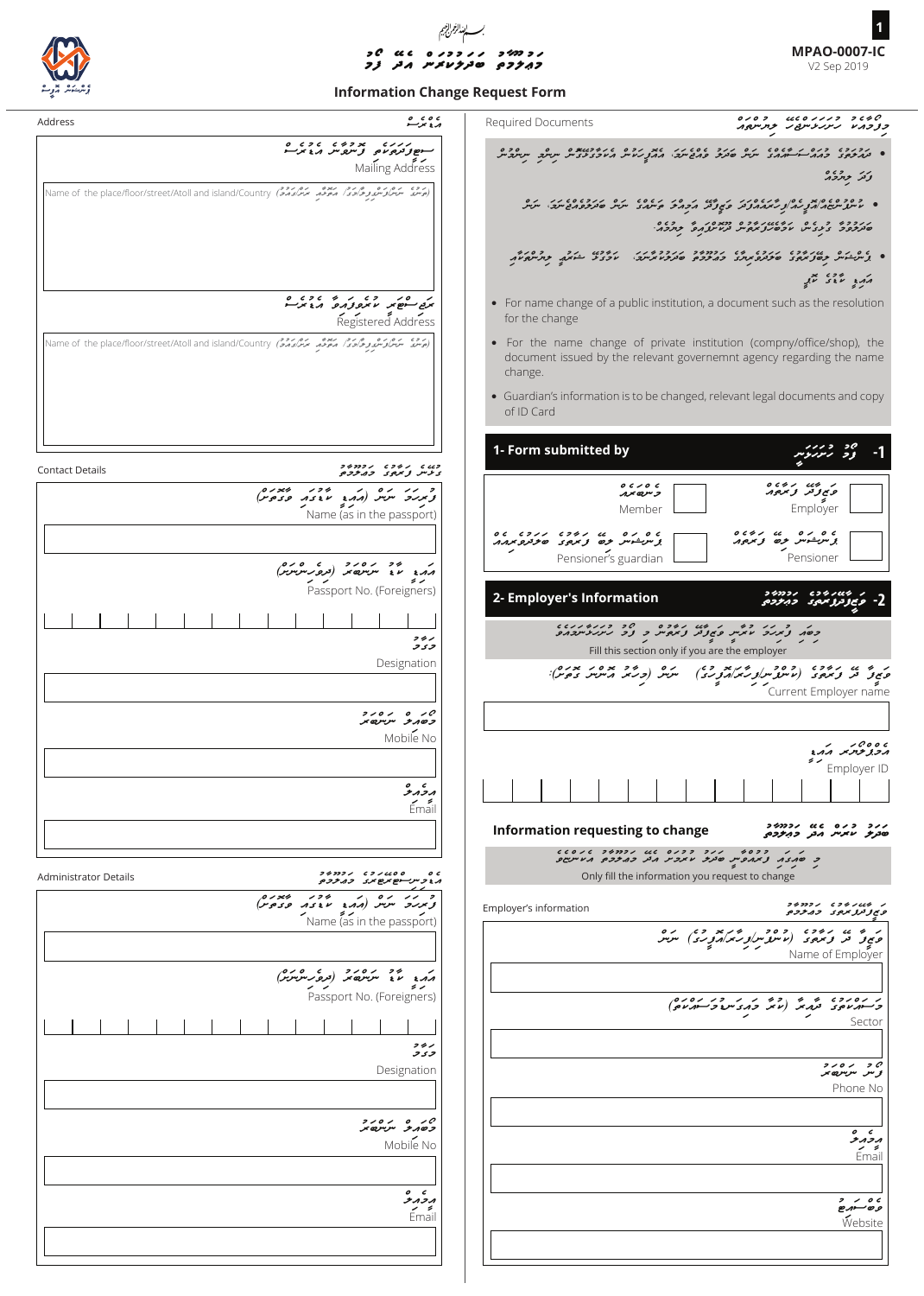

## *ފމ* <sup>c</sup> *މ ޢލމތ ބ ދލ ކ ރ ނ އ ދ* ֦֧

**MPAO-0007-IC** V2 Sep 2019 **1**

## **Information Change Request Form**

| Address                                                                                                               | ی ه ی ه<br>د وسر                                                                   | Required Documents                            | 2000 פנגנסטט ב200<br>בצבחיו גינגניתסג בתייסה                                                                                                                                                                                                     |
|-----------------------------------------------------------------------------------------------------------------------|------------------------------------------------------------------------------------|-----------------------------------------------|--------------------------------------------------------------------------------------------------------------------------------------------------------------------------------------------------------------------------------------------------|
|                                                                                                                       | ر ر ر د بر ده د د د ه<br>سوپولوم د و د د د د د د د<br>Mailing Address              |                                               | ه دوروی وره بر دی ه به بره درو پرورد بروه بروه در دوسته می شود.<br>• ترمزدی ومدارست سدور سرد صدیق شرق مدیر در موجود در سر سرد سرسرد سر<br>وكتر جازوار                                                                                            |
| در وه میگرد کند و گردم میخود میگردد می Name of the place/floor/street/Atoll and island/Country (محصر میگردم می        |                                                                                    |                                               | • ניספס מודע מקור ליממת ציון ומודע לכל האות המספי הם התוכנים הובי היותר.<br>• עיית יישוב את צינב אצג מהנהג בא פיציב האופרים יודע בין האופרים ויופי היותר.<br>הקבר כ 2 ם קובומיק בכם בבבסק בי כ 2 ם.<br>סבקבר בינגייט מכסקל בפייט בניות בפי בחברי |
|                                                                                                                       |                                                                                    |                                               | ه بی در سرعت دروی دروی به دوده و دروویدر دروی دو دوسره به در در درود.<br>• بر سرعت دولتر دید و دروید در دوروی متر در دروید است و در عبد در در در<br>مزمر والمعمد التعمير                                                                         |
|                                                                                                                       | برق سنصر الانزو واروا الراح برسنة<br>Registered Address                            | for the change                                | • For name change of a public institution, a document such as the resolution                                                                                                                                                                     |
| ر وی مرد مرد مدور در معرض معرض معداد و در در در در در استفاده Name of the place/floor/street/Atoll and island/Country |                                                                                    | change.                                       | • For the name change of private institution (compny/office/shop), the<br>document issued by the relevant governemnt agency regarding the name                                                                                                   |
|                                                                                                                       |                                                                                    | of ID Card                                    | • Guardian's information is to be changed, relevant legal documents and copy                                                                                                                                                                     |
| <b>Contact Details</b>                                                                                                | フチフフノ くフラノ くんコ<br>ى دىس ۋىرمى تەمەمەر م                                            | 1- Form submitted by                          | دد ریزرنبر                                                                                                                                                                                                                                       |
| o v »<br>ومرزد سيتر (مدد عدد ورمرم)                                                                                   | Name (as in the passport)                                                          | 0 < 10 c<br>ر سرہ سرر<br>Member               | ر من ره.ه ه<br>ونپرتر و دره.<br>Employer                                                                                                                                                                                                         |
|                                                                                                                       | ر دو ده ده دو ده دره)<br>مهده که د سرسه در دره سرسرس                               | Pensioner's guardian                          | 0 c 4 x cc<br>0 < 0 <<br>برسربشوسر حرص ويمرمون<br>Pensioner                                                                                                                                                                                      |
|                                                                                                                       | د ۶<br>Passport No. (Foreigners)                                                   | 2- Employer's Information                     | コ シフフノ<br>وبرووم<br>و بے زمربر سہی ت                                                                                                                                                                                                             |
|                                                                                                                       | コチン<br>وىر                                                                         |                                               | פסת צינגוד כל המט גודס ביו הפנינדינדו<br>כסת צינגוד מיניית פתורת צינדונית כ צידור היינגודינדונדור<br>Fill this section only if you are the employer                                                                                              |
|                                                                                                                       | Designation                                                                        | ره (وربر مرسر بدره):<br>سرس (وربر مرسرس دوس): | ر په ده د دوه د ده ده سراو شمر امرو ده)<br>د بي د او مرحود (پاسو سراو شمر امرو سر<br>Current Employer name                                                                                                                                       |
|                                                                                                                       | ,,,, , ,0<br>وصمر مرسري س<br>Mobile No                                             |                                               |                                                                                                                                                                                                                                                  |
|                                                                                                                       | $\circ$ $\circ$<br>بروبر و<br>৴⋍                                                   | 1 1 1 1 1 1 1 1 1 1 1                         | درو ومرسر اردا<br>Employer ID<br>and the contract of the contract of                                                                                                                                                                             |
|                                                                                                                       | Email                                                                              | Information requesting to change              | コタフコン   いく   ロノコ   コノノ<br>סבקיצ מזניו והבק כדיקכם.                                                                                                                                                                                               |
| <b>Administrator Details</b>                                                                                          | ים סימינים נכחבים<br>הגבית יישיבים <i>הביטי</i> ם                                  |                                               | נ נ' ככם ז' נדב ככנס גם נדבר בנים בכלים.<br>כ' שנגז, צ'ימניםייט שינית מימנית ומיני מייתומים.<br>Only fill the information you request to change                                                                                                  |
| و رر ده (مکرو پودر پرده)<br>ویربرد سرس (مکرو موده وی م<br>s v                                                         | Name (as in the passport)                                                          | Employer's information                        | フチフフン くフランムウ<br>ويوترتر بروى ومحرحو                                                                                                                                                                                                              |
|                                                                                                                       |                                                                                    |                                               | ת משים הכספים כספי המה בישים המודעים המודעים בית הסתיים.<br>סמיק מציע את משתי משתי משתי משתי המודעים או משתיים.<br>Name of Employer<br>Name of Employer                                                                                          |
|                                                                                                                       | ر دو درود (مره رسمبرد)<br>مدد تا سرسه را (مره رسمبرد)<br>Passport No. (Foreigners) |                                               | 0101 12 1 1 42 <sub>1</sub> 4 4 62101 1<br>وتستهرماموى المرمرس أماس ومردس وتستمرماموا                                                                                                                                                            |
|                                                                                                                       | コクノ<br>و د و                                                                       |                                               | Sector                                                                                                                                                                                                                                           |
|                                                                                                                       | Designation                                                                        |                                               | 200120<br>وس سرسرہ سر<br>Phone No                                                                                                                                                                                                                |
|                                                                                                                       | ,,,, <i>,0</i><br>وصدو سرس ر<br>Mobile No                                          |                                               | $\circ$ $\circ$<br>بروبرو<br>- -                                                                                                                                                                                                                 |
|                                                                                                                       | $\circ$ $\circ$                                                                    |                                               | Email                                                                                                                                                                                                                                            |
|                                                                                                                       | ナハフハ<br>Email                                                                      |                                               | $2$ / 0 c<br>وەسىرە<br>Website                                                                                                                                                                                                                   |
|                                                                                                                       |                                                                                    |                                               |                                                                                                                                                                                                                                                  |